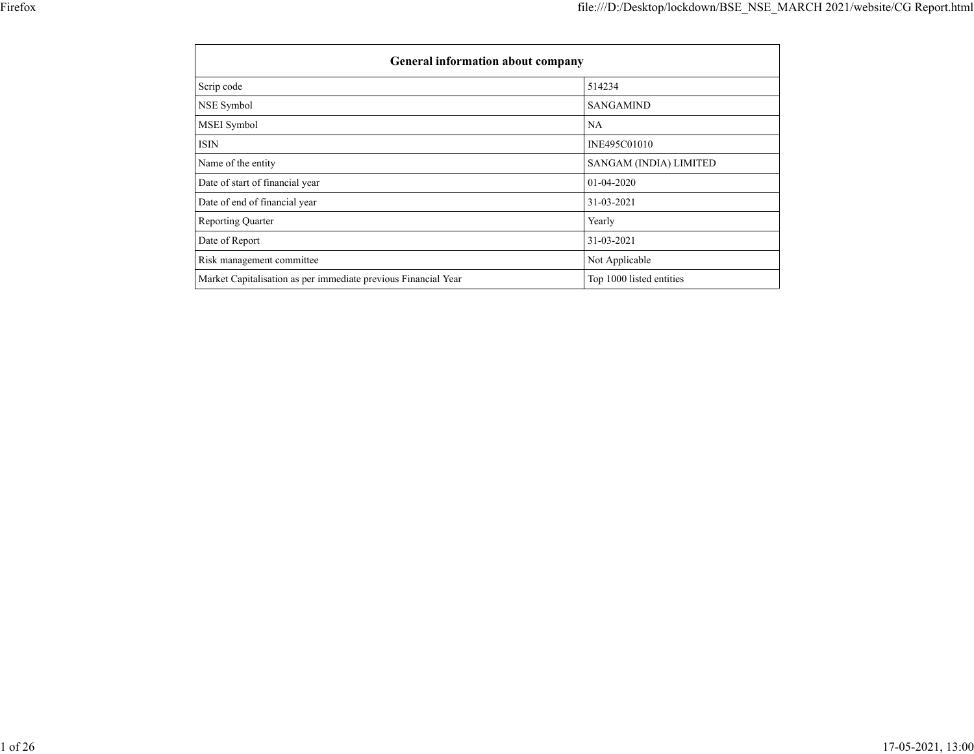| <b>General information about company</b>                       |                          |
|----------------------------------------------------------------|--------------------------|
| Scrip code                                                     | 514234                   |
| NSE Symbol                                                     | <b>SANGAMIND</b>         |
| MSEI Symbol                                                    | NA                       |
| <b>ISIN</b>                                                    | INE495C01010             |
| Name of the entity                                             | SANGAM (INDIA) LIMITED   |
| Date of start of financial year                                | $01-04-2020$             |
| Date of end of financial year                                  | 31-03-2021               |
| <b>Reporting Quarter</b>                                       | Yearly                   |
| Date of Report                                                 | 31-03-2021               |
| Risk management committee                                      | Not Applicable           |
| Market Capitalisation as per immediate previous Financial Year | Top 1000 listed entities |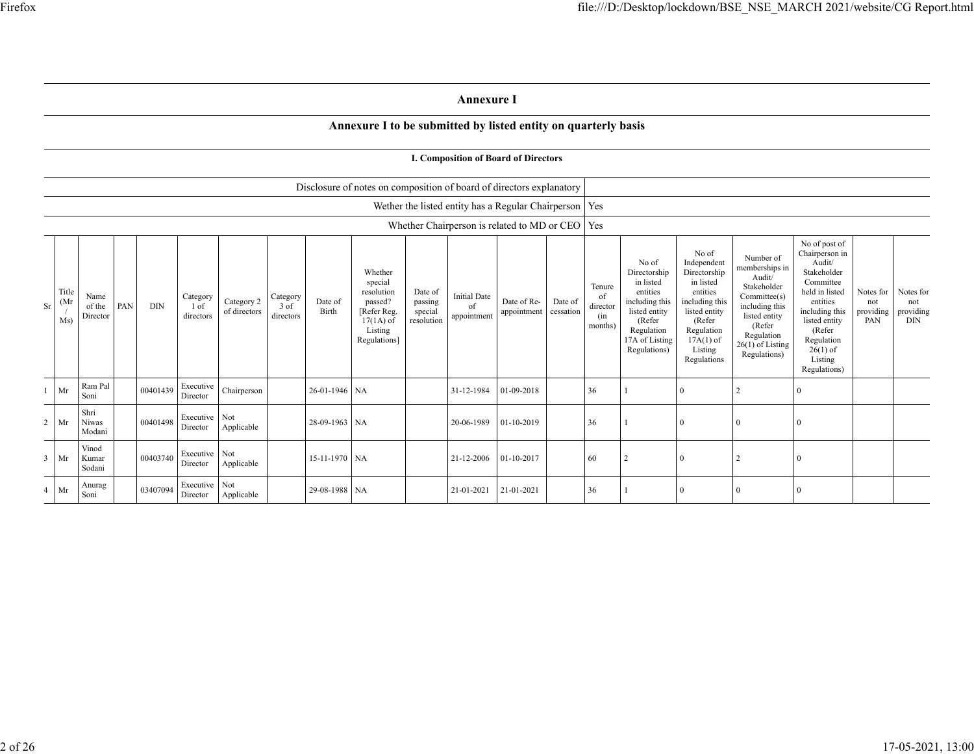## **Annexure I**

## **Annexure I to be submitted by listed entity on quarterly basis**

|    |                      |                                   |            |                               |                            |                               |                  |                                                                                                      |                                             | Disclosure of notes on composition of board of directors explanatory |                            |                      |                                            |                                                                                                                                             |                                                                                                                                                                   |                                                                                                                                                                       |                                                                                                                                                                                                         |                                      |                                      |
|----|----------------------|-----------------------------------|------------|-------------------------------|----------------------------|-------------------------------|------------------|------------------------------------------------------------------------------------------------------|---------------------------------------------|----------------------------------------------------------------------|----------------------------|----------------------|--------------------------------------------|---------------------------------------------------------------------------------------------------------------------------------------------|-------------------------------------------------------------------------------------------------------------------------------------------------------------------|-----------------------------------------------------------------------------------------------------------------------------------------------------------------------|---------------------------------------------------------------------------------------------------------------------------------------------------------------------------------------------------------|--------------------------------------|--------------------------------------|
|    |                      |                                   |            |                               |                            |                               |                  |                                                                                                      |                                             | Wether the listed entity has a Regular Chairperson   Yes             |                            |                      |                                            |                                                                                                                                             |                                                                                                                                                                   |                                                                                                                                                                       |                                                                                                                                                                                                         |                                      |                                      |
|    |                      |                                   |            |                               |                            |                               |                  |                                                                                                      |                                             | Whether Chairperson is related to MD or CEO $ $ Yes                  |                            |                      |                                            |                                                                                                                                             |                                                                                                                                                                   |                                                                                                                                                                       |                                                                                                                                                                                                         |                                      |                                      |
| Sr | Title<br>(Mr)<br>Ms) | Name<br>PAN<br>of the<br>Director | <b>DIN</b> | Category<br>1 of<br>directors | Category 2<br>of directors | Category<br>3 of<br>directors | Date of<br>Birth | Whether<br>special<br>resolution<br>passed?<br>[Refer Reg.<br>$17(1A)$ of<br>Listing<br>Regulations] | Date of<br>passing<br>special<br>resolution | <b>Initial Date</b><br>of<br>appointment                             | Date of Re-<br>appointment | Date of<br>cessation | Tenure<br>of<br>director<br>(in<br>months) | No of<br>Directorship<br>in listed<br>entities<br>including this<br>listed entity<br>(Refer<br>Regulation<br>17A of Listing<br>Regulations) | No of<br>Independent<br>Directorship<br>in listed<br>entities<br>including this<br>listed entity<br>(Refer<br>Regulation<br>$17A(1)$ of<br>Listing<br>Regulations | Number of<br>memberships in<br>Audit/<br>Stakeholder<br>Committee(s)<br>including this<br>listed entity<br>(Refer<br>Regulation<br>$26(1)$ of Listing<br>Regulations) | No of post of<br>Chairperson in<br>Audit/<br>Stakeholder<br>Committee<br>held in listed<br>entities<br>including this<br>listed entity<br>(Refer<br>Regulation<br>$26(1)$ of<br>Listing<br>Regulations) | Notes for<br>not<br>providing<br>PAN | Notes for<br>not<br>providing<br>DIN |
|    | Mr                   | Ram Pal<br>Soni                   | 00401439   | Executive<br>Director         | Chairperson                |                               | 26-01-1946 NA    |                                                                                                      |                                             | 31-12-1984                                                           | 01-09-2018                 |                      | 36                                         |                                                                                                                                             | $\Omega$                                                                                                                                                          | 2                                                                                                                                                                     | $\Omega$                                                                                                                                                                                                |                                      |                                      |
| 2  | Mr                   | Shri<br><b>Niwas</b><br>Modani    | 00401498   | Executive Not<br>Director     | Applicable                 |                               | 28-09-1963 NA    |                                                                                                      |                                             | 20-06-1989                                                           | 01-10-2019                 |                      | 36                                         |                                                                                                                                             | $\Omega$                                                                                                                                                          | $\theta$                                                                                                                                                              | $\Omega$                                                                                                                                                                                                |                                      |                                      |
| 3  | Mr                   | Vinod<br>Kumar<br>Sodani          | 00403740   | Executive Not<br>Director     | Applicable                 |                               | 15-11-1970 NA    |                                                                                                      |                                             | 21-12-2006                                                           | 01-10-2017                 |                      | 60                                         |                                                                                                                                             | $\Omega$                                                                                                                                                          | $\overline{2}$                                                                                                                                                        | $\Omega$                                                                                                                                                                                                |                                      |                                      |
|    | $4$ Mr               | Anurag<br>Soni                    | 03407094   | Executive Not<br>Director     | Applicable                 |                               | 29-08-1988 NA    |                                                                                                      |                                             | 21-01-2021                                                           | 21-01-2021                 |                      | 36                                         |                                                                                                                                             | $\theta$                                                                                                                                                          | $\Omega$                                                                                                                                                              | $\Omega$                                                                                                                                                                                                |                                      |                                      |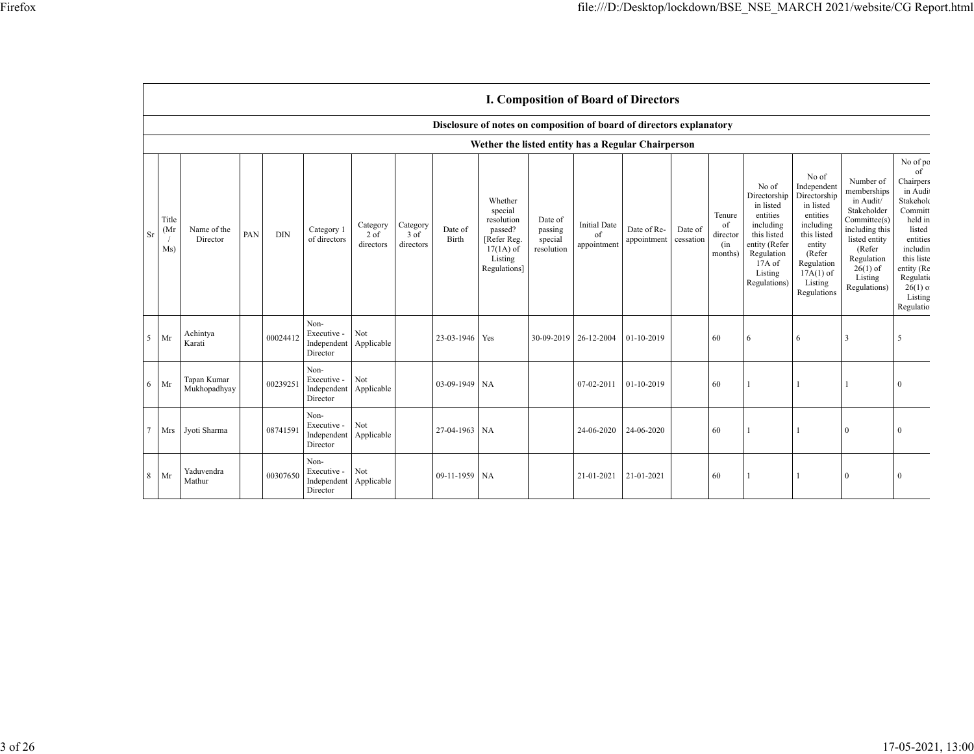|           |                      |                                                    |     |            |                                                |                                 |                               |                  |                                                                                                      |                                             |                                          | <b>I. Composition of Board of Directors</b> |                      |                                            |                                                                                                                                                |                                                                                                                                                                      |                                                                                                                                                                          |                                                                                                                                                                                            |
|-----------|----------------------|----------------------------------------------------|-----|------------|------------------------------------------------|---------------------------------|-------------------------------|------------------|------------------------------------------------------------------------------------------------------|---------------------------------------------|------------------------------------------|---------------------------------------------|----------------------|--------------------------------------------|------------------------------------------------------------------------------------------------------------------------------------------------|----------------------------------------------------------------------------------------------------------------------------------------------------------------------|--------------------------------------------------------------------------------------------------------------------------------------------------------------------------|--------------------------------------------------------------------------------------------------------------------------------------------------------------------------------------------|
|           |                      |                                                    |     |            |                                                |                                 |                               |                  | Disclosure of notes on composition of board of directors explanatory                                 |                                             |                                          |                                             |                      |                                            |                                                                                                                                                |                                                                                                                                                                      |                                                                                                                                                                          |                                                                                                                                                                                            |
|           |                      | Wether the listed entity has a Regular Chairperson |     |            |                                                |                                 |                               |                  |                                                                                                      |                                             |                                          |                                             |                      |                                            |                                                                                                                                                |                                                                                                                                                                      |                                                                                                                                                                          |                                                                                                                                                                                            |
| <b>Sr</b> | Title<br>(Mr)<br>Ms) | Name of the<br>Director                            | PAN | <b>DIN</b> | Category 1<br>of directors                     | Category<br>$2$ of<br>directors | Category<br>3 of<br>directors | Date of<br>Birth | Whether<br>special<br>resolution<br>passed?<br>[Refer Reg.<br>$17(1A)$ of<br>Listing<br>Regulations] | Date of<br>passing<br>special<br>resolution | <b>Initial Date</b><br>of<br>appointment | Date of Re-<br>appointment                  | Date of<br>cessation | Tenure<br>of<br>director<br>(in<br>months) | No of<br>Directorship<br>in listed<br>entities<br>including<br>this listed<br>entity (Refer<br>Regulation<br>17A of<br>Listing<br>Regulations) | No of<br>Independent<br>Directorship<br>in listed<br>entities<br>including<br>this listed<br>entity<br>(Refer<br>Regulation<br>$17A(1)$ of<br>Listing<br>Regulations | Number of<br>memberships<br>in Audit/<br>Stakeholder<br>Committee(s)<br>including this<br>listed entity<br>(Refer<br>Regulation<br>$26(1)$ of<br>Listing<br>Regulations) | No of po<br>of<br>Chairpers<br>in Audit<br>Stakeholc<br>Committ<br>held in<br>listed<br>entities<br>includin<br>this liste<br>entity (Re<br>Regulatio<br>$26(1)$ o<br>Listing<br>Regulatio |
| 5         | Mr                   | Achintya<br>Karati                                 |     | 00024412   | Non-<br>Executive -<br>Independent<br>Director | Not<br>Applicable               |                               | 23-03-1946 Yes   |                                                                                                      | 30-09-2019 26-12-2004                       |                                          | 01-10-2019                                  |                      | 60                                         | 6                                                                                                                                              | 6                                                                                                                                                                    | 3                                                                                                                                                                        | 5                                                                                                                                                                                          |
| 6         | Mr                   | Tapan Kumar<br>Mukhopadhyay                        |     | 00239251   | Non-<br>Executive -<br>Independent<br>Director | Not<br>Applicable               |                               | $03-09-1949$ NA  |                                                                                                      |                                             | 07-02-2011                               | 01-10-2019                                  |                      | 60                                         | 1                                                                                                                                              | $\mathbf{1}$                                                                                                                                                         |                                                                                                                                                                          | $\theta$                                                                                                                                                                                   |
| 7         | Mrs                  | Jyoti Sharma                                       |     | 08741591   | Non-<br>Executive -<br>Independent<br>Director | Not<br>Applicable               |                               | 27-04-1963 NA    |                                                                                                      |                                             | 24-06-2020                               | 24-06-2020                                  |                      | 60                                         |                                                                                                                                                |                                                                                                                                                                      | $\theta$                                                                                                                                                                 | $\Omega$                                                                                                                                                                                   |
| 8         | Mr                   | Yaduvendra<br>Mathur                               |     | 00307650   | Non-<br>Executive -<br>Independent<br>Director | Not<br>Applicable               |                               | 09-11-1959 NA    |                                                                                                      |                                             | 21-01-2021                               | 21-01-2021                                  |                      | 60                                         |                                                                                                                                                | $\mathbf{1}$                                                                                                                                                         | $\theta$                                                                                                                                                                 | $\Omega$                                                                                                                                                                                   |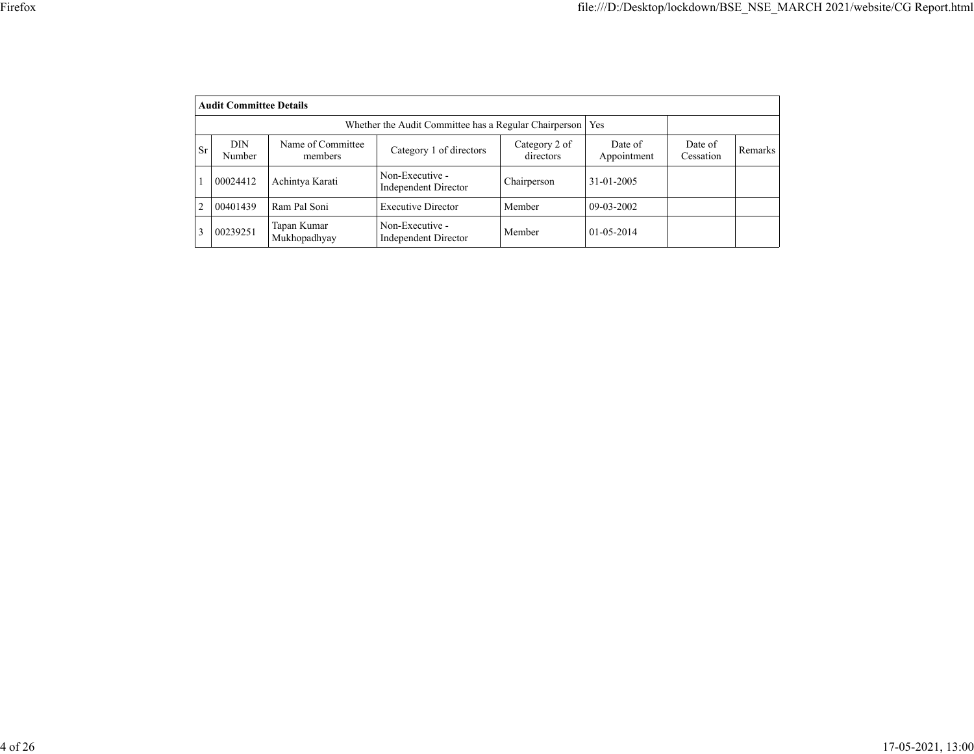|    | <b>Audit Committee Details</b> |                                                       |                                                |                            |                        |                      |                |
|----|--------------------------------|-------------------------------------------------------|------------------------------------------------|----------------------------|------------------------|----------------------|----------------|
|    |                                | Whether the Audit Committee has a Regular Chairperson | <b>Yes</b>                                     |                            |                        |                      |                |
| Sr | <b>DIN</b><br>Number           | Name of Committee<br>members                          | Category 1 of directors                        | Category 2 of<br>directors | Date of<br>Appointment | Date of<br>Cessation | <b>Remarks</b> |
|    | 00024412                       | Achintya Karati                                       | Non-Executive -<br><b>Independent Director</b> | Chairperson                | 31-01-2005             |                      |                |
|    | 00401439                       | Ram Pal Soni                                          | <b>Executive Director</b>                      | Member                     | 09-03-2002             |                      |                |
|    | 00239251                       | Tapan Kumar<br>Mukhopadhyay                           | Non-Executive -<br><b>Independent Director</b> | Member                     | 01-05-2014             |                      |                |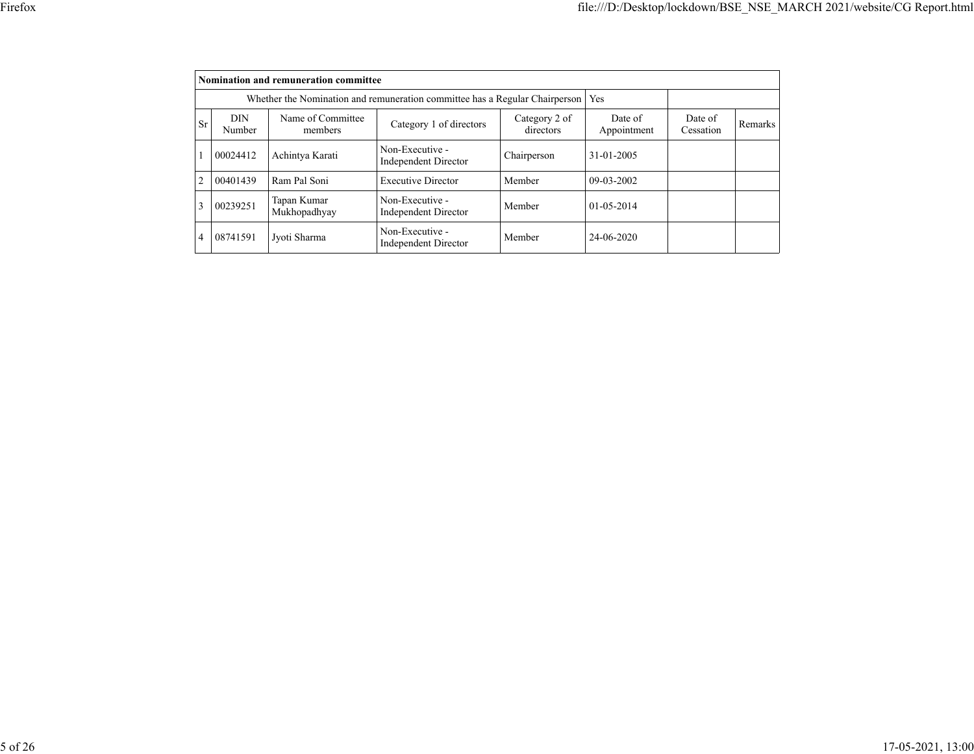|                |               | Nomination and remuneration committee |                                                                             |                            |                        |                      |         |
|----------------|---------------|---------------------------------------|-----------------------------------------------------------------------------|----------------------------|------------------------|----------------------|---------|
|                |               |                                       | Whether the Nomination and remuneration committee has a Regular Chairperson |                            | <b>Yes</b>             |                      |         |
| <b>Sr</b>      | DIN<br>Number | Name of Committee<br>members          | Category 1 of directors                                                     | Category 2 of<br>directors | Date of<br>Appointment | Date of<br>Cessation | Remarks |
|                | 00024412      | Achintya Karati                       | Non-Executive -<br><b>Independent Director</b>                              | Chairperson                | 31-01-2005             |                      |         |
| $\overline{2}$ | 00401439      | Ram Pal Soni                          | <b>Executive Director</b>                                                   | Member                     | $09-03-2002$           |                      |         |
| 3              | 00239251      | Tapan Kumar<br>Mukhopadhyay           | Non-Executive -<br><b>Independent Director</b>                              | Member                     | $01 - 0.5 - 2014$      |                      |         |
| 4              | 08741591      | Jyoti Sharma                          | Non-Executive -<br><b>Independent Director</b>                              | Member                     | 24-06-2020             |                      |         |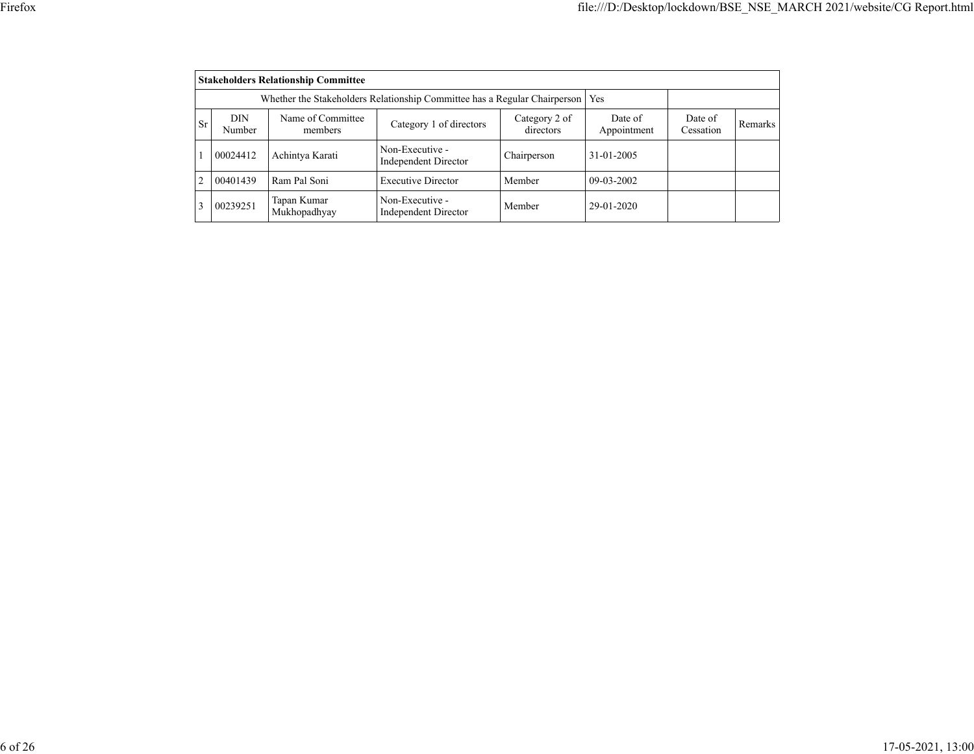| ٧ |
|---|
|   |

|                | <b>Stakeholders Relationship Committee</b> |                              |                                                                           |                        |                      |         |  |  |  |  |  |  |
|----------------|--------------------------------------------|------------------------------|---------------------------------------------------------------------------|------------------------|----------------------|---------|--|--|--|--|--|--|
|                |                                            |                              | Whether the Stakeholders Relationship Committee has a Regular Chairperson |                        | Yes                  |         |  |  |  |  |  |  |
| <b>Sr</b>      | DIN<br>Number                              | Name of Committee<br>members | Category 2 of<br>directors                                                | Date of<br>Appointment | Date of<br>Cessation | Remarks |  |  |  |  |  |  |
|                | 00024412                                   | Achintya Karati              | Non-Executive -<br><b>Independent Director</b>                            | Chairperson            | 31-01-2005           |         |  |  |  |  |  |  |
| $\overline{2}$ | 00401439                                   | Ram Pal Soni                 | <b>Executive Director</b>                                                 | Member                 | $09-03-2002$         |         |  |  |  |  |  |  |
|                | 00239251                                   | Tapan Kumar<br>Mukhopadhyay  | Non-Executive -<br><b>Independent Director</b>                            | Member                 | 29-01-2020           |         |  |  |  |  |  |  |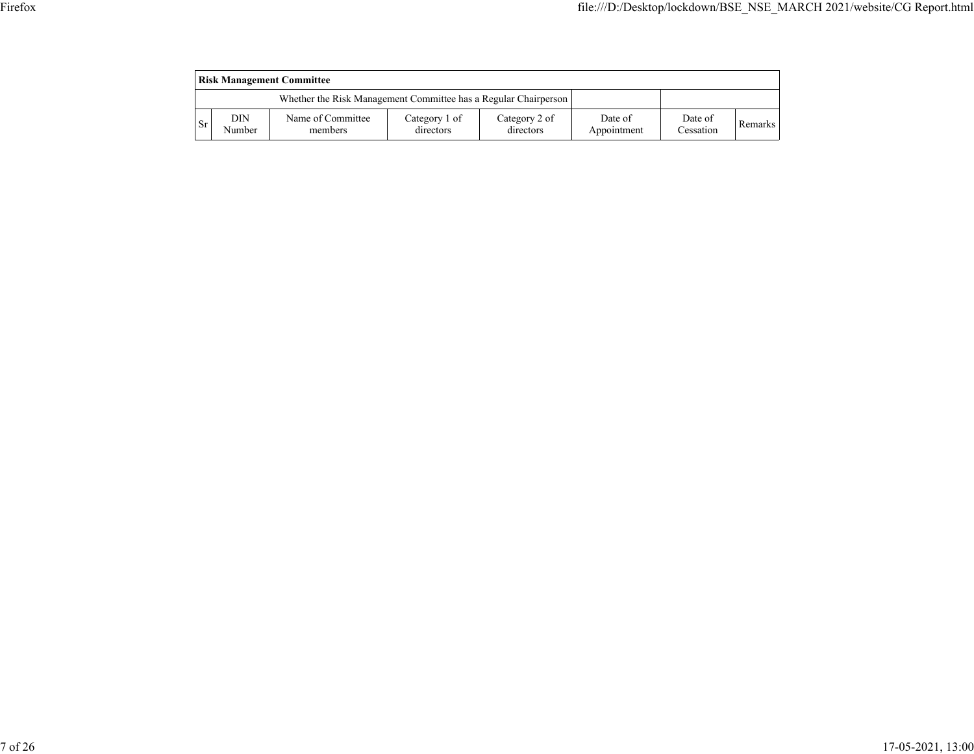|           | <b>Risk Management Committee</b> |                                                                 |                            |                            |                        |                      |         |  |  |  |  |  |
|-----------|----------------------------------|-----------------------------------------------------------------|----------------------------|----------------------------|------------------------|----------------------|---------|--|--|--|--|--|
|           |                                  | Whether the Risk Management Committee has a Regular Chairperson |                            |                            |                        |                      |         |  |  |  |  |  |
| <b>Sr</b> | DIN<br>Number                    | Name of Committee<br>members                                    | Category 1 of<br>directors | Category 2 of<br>directors | Date of<br>Appointment | Date of<br>Cessation | Remarks |  |  |  |  |  |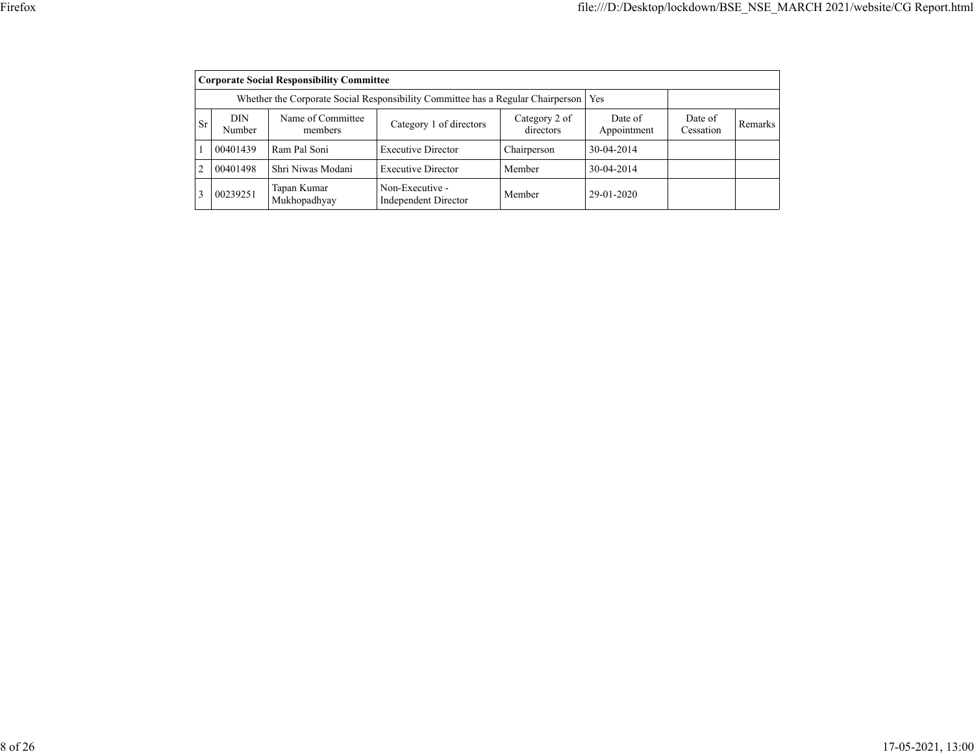|                |               | <b>Corporate Social Responsibility Committee</b> |                                                                                 |                            |                        |                      |         |
|----------------|---------------|--------------------------------------------------|---------------------------------------------------------------------------------|----------------------------|------------------------|----------------------|---------|
|                |               |                                                  | Whether the Corporate Social Responsibility Committee has a Regular Chairperson |                            | Yes                    |                      |         |
| <b>Sr</b>      | DIN<br>Number | Name of Committee<br>members                     | Category 1 of directors                                                         | Category 2 of<br>directors | Date of<br>Appointment | Date of<br>Cessation | Remarks |
|                | 00401439      | Ram Pal Soni                                     | <b>Executive Director</b>                                                       | Chairperson                | 30-04-2014             |                      |         |
| $\overline{2}$ | 00401498      | Shri Niwas Modani                                | <b>Executive Director</b>                                                       | Member                     | 30-04-2014             |                      |         |
| $\mathcal{E}$  | 00239251      | Tapan Kumar<br>Mukhopadhyay                      | Non-Executive -<br><b>Independent Director</b>                                  | Member                     | 29-01-2020             |                      |         |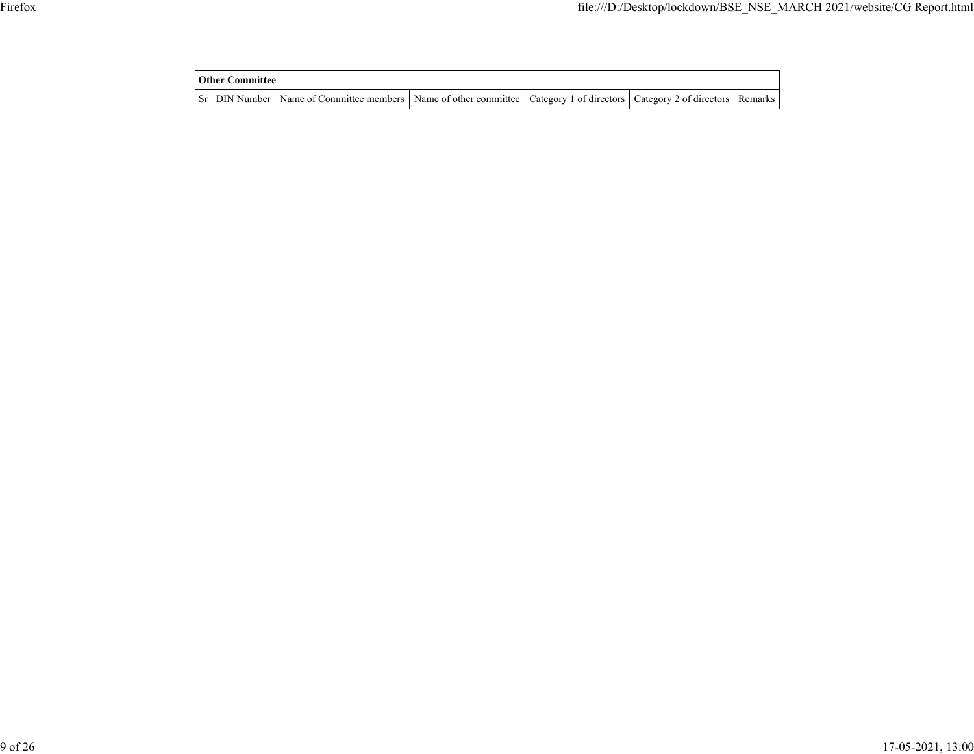| <b>Other Committee</b> |  |                                                                                                                                     |  |  |  |  |  |  |
|------------------------|--|-------------------------------------------------------------------------------------------------------------------------------------|--|--|--|--|--|--|
|                        |  | Sr   DIN Number   Name of Committee members   Name of other committee   Category 1 of directors   Category 2 of directors   Remarks |  |  |  |  |  |  |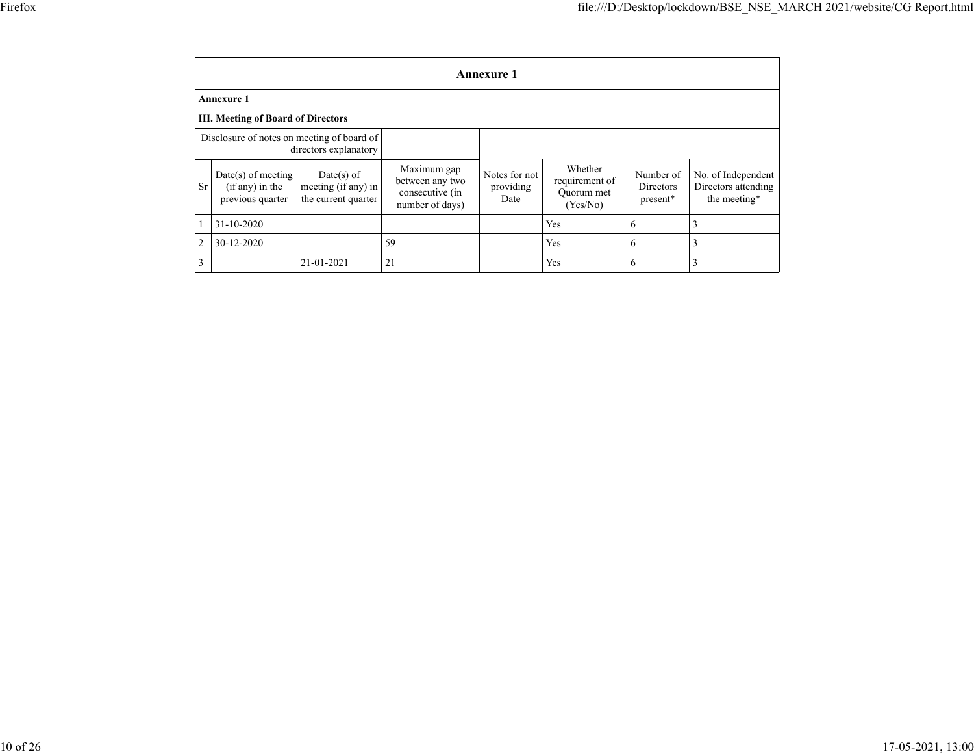|                | <b>Annexure 1</b>                                             |                                                          |                                                                      |                                    |                                                     |                                    |                                                           |  |  |  |  |
|----------------|---------------------------------------------------------------|----------------------------------------------------------|----------------------------------------------------------------------|------------------------------------|-----------------------------------------------------|------------------------------------|-----------------------------------------------------------|--|--|--|--|
|                | Annexure 1                                                    |                                                          |                                                                      |                                    |                                                     |                                    |                                                           |  |  |  |  |
|                | <b>III. Meeting of Board of Directors</b>                     |                                                          |                                                                      |                                    |                                                     |                                    |                                                           |  |  |  |  |
|                | Disclosure of notes on meeting of board of                    | directors explanatory                                    |                                                                      |                                    |                                                     |                                    |                                                           |  |  |  |  |
| <b>Sr</b>      | $Date(s)$ of meeting<br>$(if any)$ in the<br>previous quarter | Date(s) of<br>meeting (if any) in<br>the current quarter | Maximum gap<br>between any two<br>consecutive (in<br>number of days) | Notes for not<br>providing<br>Date | Whether<br>requirement of<br>Ouorum met<br>(Yes/No) | Number of<br>Directors<br>present* | No. of Independent<br>Directors attending<br>the meeting* |  |  |  |  |
|                | 31-10-2020                                                    |                                                          |                                                                      |                                    | Yes                                                 | 6                                  | 3                                                         |  |  |  |  |
| $\overline{2}$ | 30-12-2020                                                    |                                                          | 59                                                                   |                                    | Yes                                                 | 6                                  | 3                                                         |  |  |  |  |
| 3              |                                                               | 21-01-2021                                               | 21                                                                   |                                    | Yes                                                 | 6                                  | 3                                                         |  |  |  |  |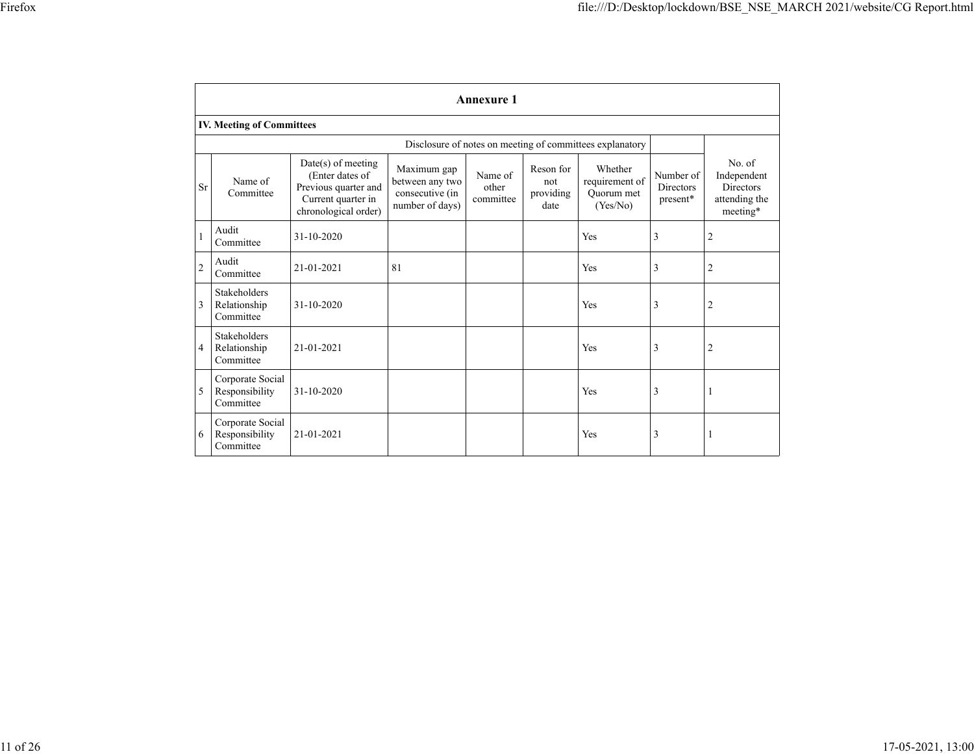|                | Annexure 1                                               |                                                                                                               |                                                                      |                               |                                       |                                                     |                                           |                                                                        |
|----------------|----------------------------------------------------------|---------------------------------------------------------------------------------------------------------------|----------------------------------------------------------------------|-------------------------------|---------------------------------------|-----------------------------------------------------|-------------------------------------------|------------------------------------------------------------------------|
|                | <b>IV. Meeting of Committees</b>                         |                                                                                                               |                                                                      |                               |                                       |                                                     |                                           |                                                                        |
|                | Disclosure of notes on meeting of committees explanatory |                                                                                                               |                                                                      |                               |                                       |                                                     |                                           |                                                                        |
| Sr             | Name of<br>Committee                                     | $Date(s)$ of meeting<br>(Enter dates of<br>Previous quarter and<br>Current quarter in<br>chronological order) | Maximum gap<br>between any two<br>consecutive (in<br>number of days) | Name of<br>other<br>committee | Reson for<br>not<br>providing<br>date | Whether<br>requirement of<br>Ouorum met<br>(Yes/No) | Number of<br><b>Directors</b><br>present* | No. of<br>Independent<br><b>Directors</b><br>attending the<br>meeting* |
| 1              | Audit<br>Committee                                       | $31 - 10 - 2020$                                                                                              |                                                                      |                               |                                       | Yes                                                 | 3                                         | $\overline{c}$                                                         |
| $\overline{c}$ | Audit<br>Committee                                       | 21-01-2021                                                                                                    | 81                                                                   |                               |                                       | Yes                                                 | 3                                         | 2                                                                      |
| 3              | Stakeholders<br>Relationship<br>Committee                | $31 - 10 - 2020$                                                                                              |                                                                      |                               |                                       | Yes                                                 | 3                                         | 2                                                                      |
| 4              | <b>Stakeholders</b><br>Relationship<br>Committee         | 21-01-2021                                                                                                    |                                                                      |                               |                                       | Yes                                                 | 3                                         | 2                                                                      |
| 5              | Corporate Social<br>Responsibility<br>Committee          | 31-10-2020                                                                                                    |                                                                      |                               |                                       | Yes                                                 | 3                                         |                                                                        |
| 6              | Corporate Social<br>Responsibility<br>Committee          | 21-01-2021                                                                                                    |                                                                      |                               |                                       | Yes                                                 | 3                                         |                                                                        |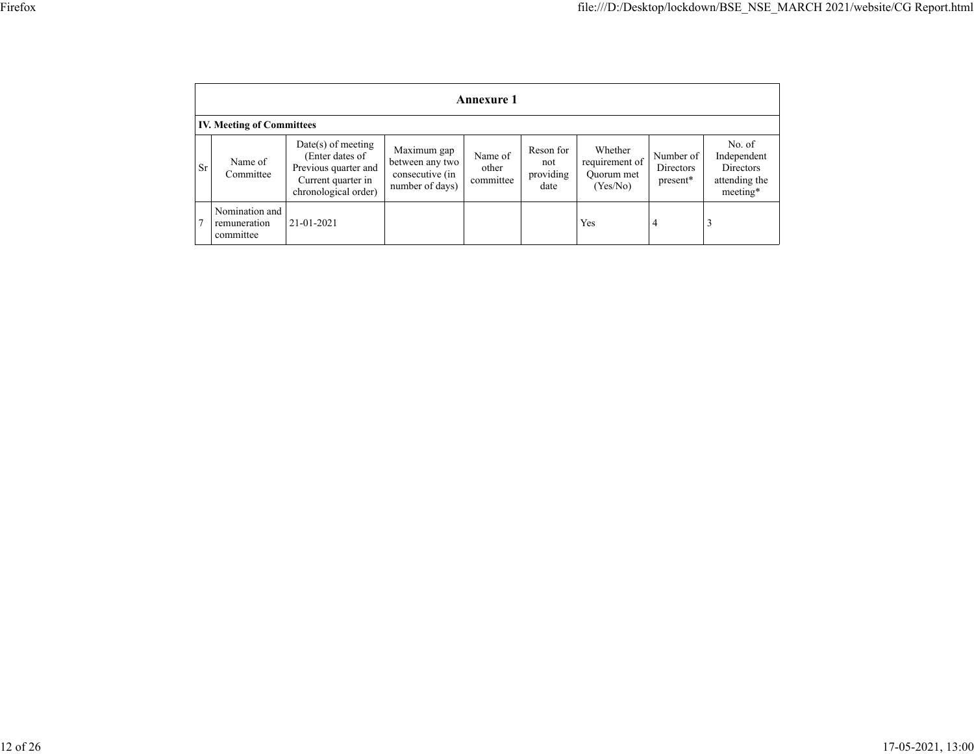|           | <b>Annexure 1</b>                           |                                                                                                               |                                                                      |                               |                                       |                                                     |                                    |                                                                        |
|-----------|---------------------------------------------|---------------------------------------------------------------------------------------------------------------|----------------------------------------------------------------------|-------------------------------|---------------------------------------|-----------------------------------------------------|------------------------------------|------------------------------------------------------------------------|
|           | <b>IV. Meeting of Committees</b>            |                                                                                                               |                                                                      |                               |                                       |                                                     |                                    |                                                                        |
| <b>Sr</b> | Name of<br>Committee                        | $Date(s)$ of meeting<br>(Enter dates of<br>Previous quarter and<br>Current quarter in<br>chronological order) | Maximum gap<br>between any two<br>consecutive (in<br>number of days) | Name of<br>other<br>committee | Reson for<br>not<br>providing<br>date | Whether<br>requirement of<br>Ouorum met<br>(Yes/No) | Number of<br>Directors<br>present* | No. of<br>Independent<br><b>Directors</b><br>attending the<br>meeting* |
|           | Nomination and<br>remuneration<br>committee | 21-01-2021                                                                                                    |                                                                      |                               |                                       | Yes                                                 | $\overline{4}$                     | 3                                                                      |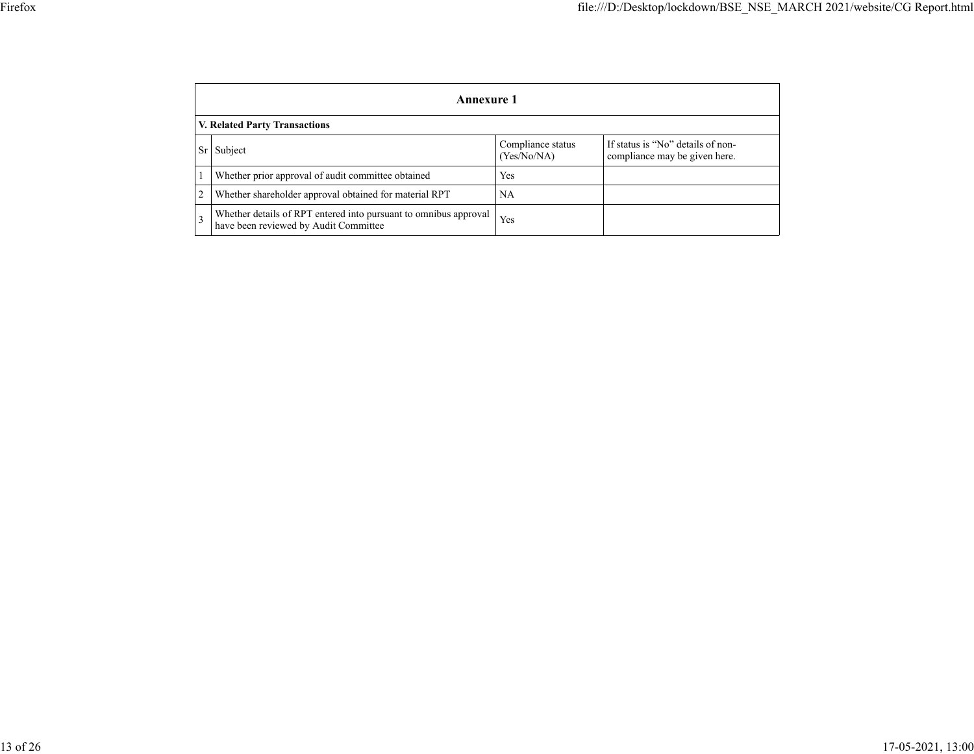|           | Annexure 1                                                                                                |                                  |                                                                    |  |  |
|-----------|-----------------------------------------------------------------------------------------------------------|----------------------------------|--------------------------------------------------------------------|--|--|
|           | <b>V. Related Party Transactions</b>                                                                      |                                  |                                                                    |  |  |
| <b>Sr</b> | Subject                                                                                                   | Compliance status<br>(Yes/No/NA) | If status is "No" details of non-<br>compliance may be given here. |  |  |
|           | Whether prior approval of audit committee obtained                                                        | Yes                              |                                                                    |  |  |
|           | Whether shareholder approval obtained for material RPT                                                    | <b>NA</b>                        |                                                                    |  |  |
|           | Whether details of RPT entered into pursuant to omnibus approval<br>have been reviewed by Audit Committee | Yes                              |                                                                    |  |  |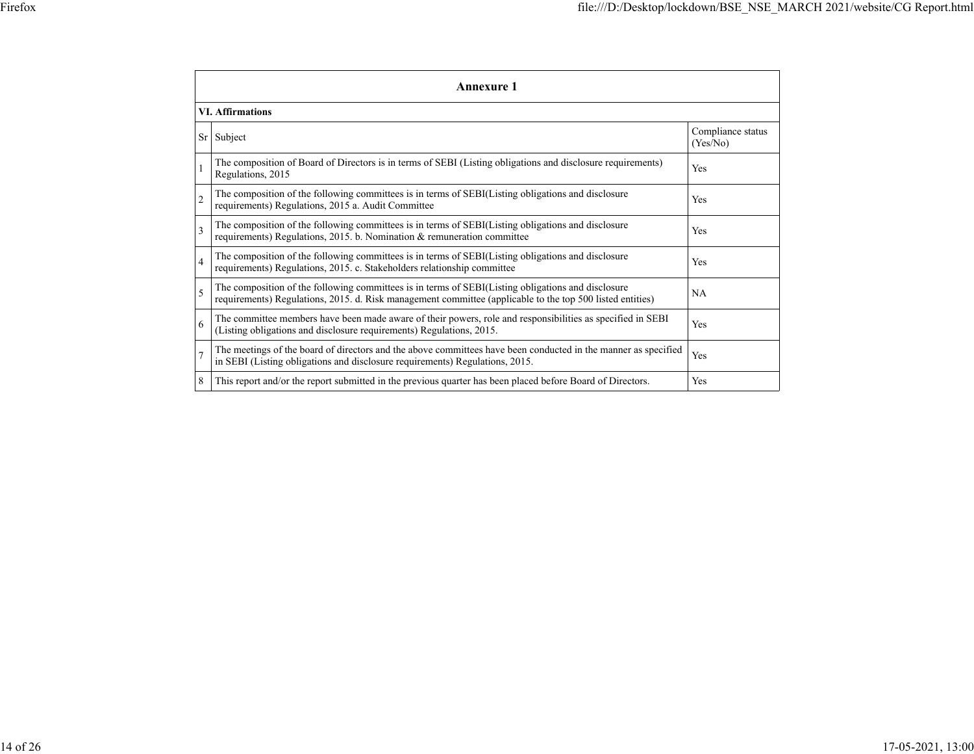|                 | <b>Annexure 1</b>                                                                                                                                                                                               |                               |  |  |  |  |
|-----------------|-----------------------------------------------------------------------------------------------------------------------------------------------------------------------------------------------------------------|-------------------------------|--|--|--|--|
|                 | <b>VI.</b> Affirmations                                                                                                                                                                                         |                               |  |  |  |  |
| Sr <sub>1</sub> | Subject                                                                                                                                                                                                         | Compliance status<br>(Yes/No) |  |  |  |  |
|                 | The composition of Board of Directors is in terms of SEBI (Listing obligations and disclosure requirements)<br>Regulations, 2015                                                                                | Yes                           |  |  |  |  |
| $\overline{c}$  | The composition of the following committees is in terms of SEBI(Listing obligations and disclosure<br>requirements) Regulations, 2015 a. Audit Committee                                                        | Yes                           |  |  |  |  |
| $\mathbf{3}$    | The composition of the following committees is in terms of SEBI(Listing obligations and disclosure<br>requirements) Regulations, 2015. b. Nomination & remuneration committee                                   | Yes                           |  |  |  |  |
| $\overline{4}$  | The composition of the following committees is in terms of SEBI(Listing obligations and disclosure<br>requirements) Regulations, 2015. c. Stakeholders relationship committee                                   | Yes                           |  |  |  |  |
| 5               | The composition of the following committees is in terms of SEBI(Listing obligations and disclosure<br>requirements) Regulations, 2015. d. Risk management committee (applicable to the top 500 listed entities) | <b>NA</b>                     |  |  |  |  |
| 6               | The committee members have been made aware of their powers, role and responsibilities as specified in SEBI<br>(Listing obligations and disclosure requirements) Regulations, 2015.                              | Yes                           |  |  |  |  |
| $\overline{7}$  | The meetings of the board of directors and the above committees have been conducted in the manner as specified<br>in SEBI (Listing obligations and disclosure requirements) Regulations, 2015.                  | Yes                           |  |  |  |  |
| 8               | This report and/or the report submitted in the previous quarter has been placed before Board of Directors.                                                                                                      | Yes                           |  |  |  |  |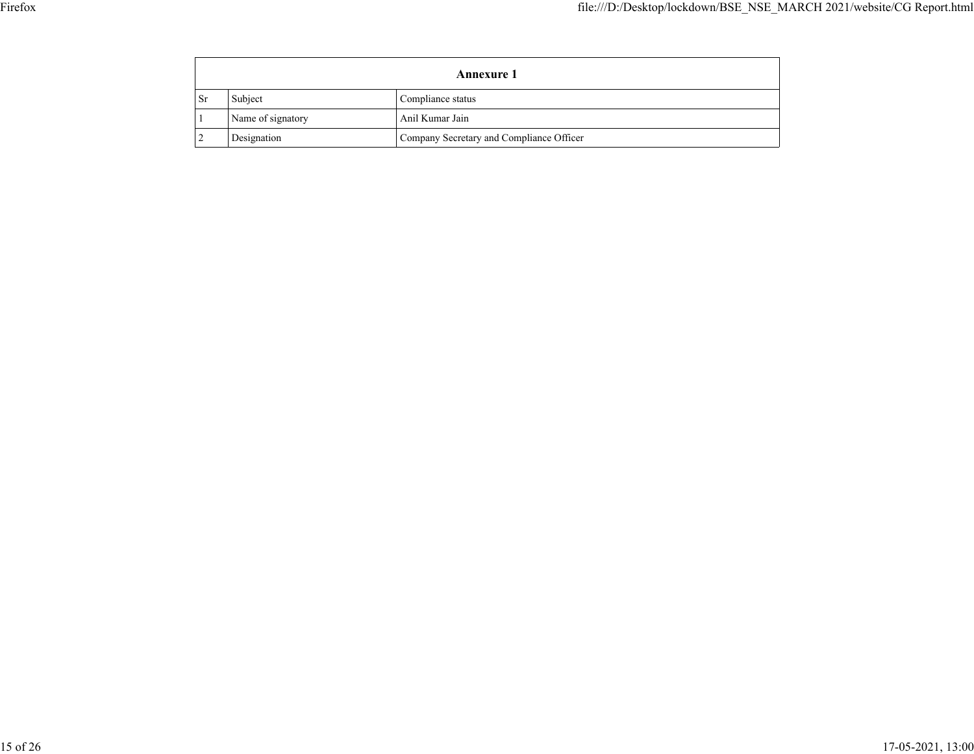|           | <b>Annexure 1</b> |                                          |  |  |
|-----------|-------------------|------------------------------------------|--|--|
| <b>Sr</b> | Subject           | Compliance status                        |  |  |
|           | Name of signatory | Anil Kumar Jain                          |  |  |
|           | Designation       | Company Secretary and Compliance Officer |  |  |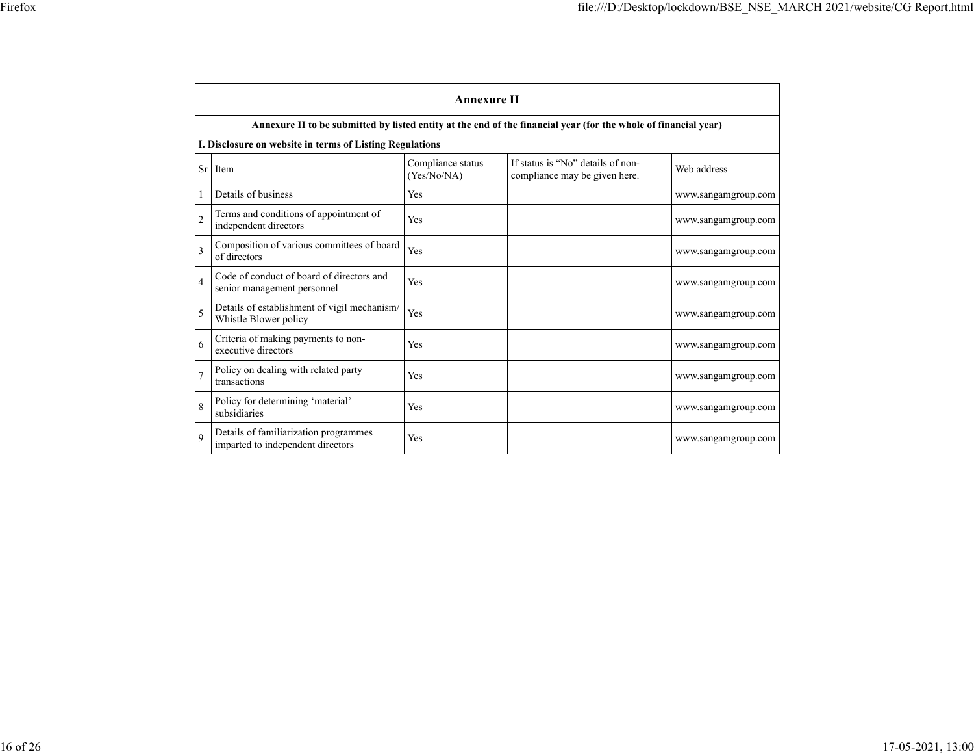|                | <b>Annexure II</b>                                                                                              |                                  |                                                                    |                     |  |  |
|----------------|-----------------------------------------------------------------------------------------------------------------|----------------------------------|--------------------------------------------------------------------|---------------------|--|--|
|                | Annexure II to be submitted by listed entity at the end of the financial year (for the whole of financial year) |                                  |                                                                    |                     |  |  |
|                | I. Disclosure on website in terms of Listing Regulations                                                        |                                  |                                                                    |                     |  |  |
| <b>Sr</b>      | Item                                                                                                            | Compliance status<br>(Yes/No/NA) | If status is "No" details of non-<br>compliance may be given here. | Web address         |  |  |
| 1              | Details of business                                                                                             | Yes                              |                                                                    | www.sangamgroup.com |  |  |
| $\overline{2}$ | Terms and conditions of appointment of<br>independent directors                                                 | Yes                              |                                                                    | www.sangamgroup.com |  |  |
| 3              | Composition of various committees of board<br>of directors                                                      | Yes                              |                                                                    | www.sangamgroup.com |  |  |
| $\overline{4}$ | Code of conduct of board of directors and<br>senior management personnel                                        | Yes                              |                                                                    | www.sangamgroup.com |  |  |
| 5              | Details of establishment of vigil mechanism/<br>Whistle Blower policy                                           | Yes                              |                                                                    | www.sangamgroup.com |  |  |
| 6              | Criteria of making payments to non-<br>executive directors                                                      | Yes                              |                                                                    | www.sangamgroup.com |  |  |
|                | Policy on dealing with related party<br>transactions                                                            | Yes                              |                                                                    | www.sangamgroup.com |  |  |
| 8              | Policy for determining 'material'<br>subsidiaries                                                               | Yes                              |                                                                    | www.sangamgroup.com |  |  |
| $\mathbf{Q}$   | Details of familiarization programmes<br>imparted to independent directors                                      | Yes                              |                                                                    | www.sangamgroup.com |  |  |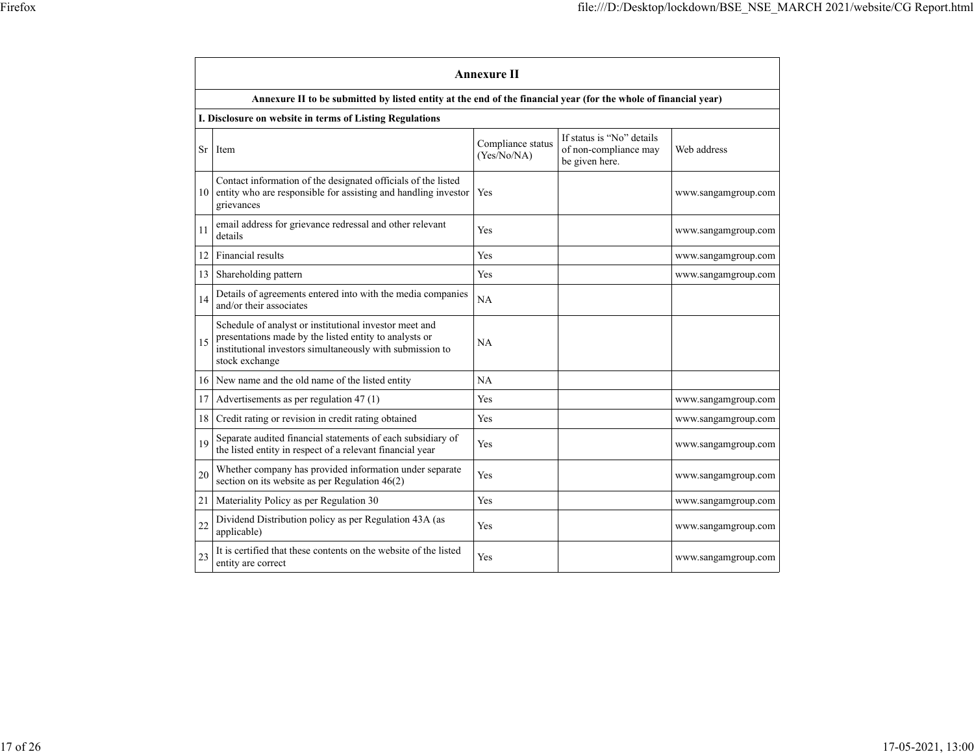|           | <b>Annexure II</b>                                                                                                                                                                              |                                  |                                                                      |                     |  |
|-----------|-------------------------------------------------------------------------------------------------------------------------------------------------------------------------------------------------|----------------------------------|----------------------------------------------------------------------|---------------------|--|
|           | Annexure II to be submitted by listed entity at the end of the financial year (for the whole of financial year)                                                                                 |                                  |                                                                      |                     |  |
|           | I. Disclosure on website in terms of Listing Regulations                                                                                                                                        |                                  |                                                                      |                     |  |
| <b>Sr</b> | Item                                                                                                                                                                                            | Compliance status<br>(Yes/No/NA) | If status is "No" details<br>of non-compliance may<br>be given here. | Web address         |  |
| 10        | Contact information of the designated officials of the listed<br>entity who are responsible for assisting and handling investor<br>grievances                                                   | Yes                              |                                                                      | www.sangamgroup.com |  |
| 11        | email address for grievance redressal and other relevant<br>details                                                                                                                             | Yes                              |                                                                      | www.sangamgroup.com |  |
| 12        | Financial results                                                                                                                                                                               | Yes                              |                                                                      | www.sangamgroup.com |  |
| 13        | Shareholding pattern                                                                                                                                                                            | Yes                              |                                                                      | www.sangamgroup.com |  |
| 14        | Details of agreements entered into with the media companies<br>and/or their associates                                                                                                          | <b>NA</b>                        |                                                                      |                     |  |
| 15        | Schedule of analyst or institutional investor meet and<br>presentations made by the listed entity to analysts or<br>institutional investors simultaneously with submission to<br>stock exchange | NA                               |                                                                      |                     |  |
| 16        | New name and the old name of the listed entity                                                                                                                                                  | <b>NA</b>                        |                                                                      |                     |  |
| 17        | Advertisements as per regulation 47 (1)                                                                                                                                                         | Yes                              |                                                                      | www.sangamgroup.com |  |
| 18        | Credit rating or revision in credit rating obtained                                                                                                                                             | Yes                              |                                                                      | www.sangamgroup.com |  |
| 19        | Separate audited financial statements of each subsidiary of<br>the listed entity in respect of a relevant financial year                                                                        | Yes                              |                                                                      | www.sangamgroup.com |  |
| 20        | Whether company has provided information under separate<br>section on its website as per Regulation $46(2)$                                                                                     | Yes                              |                                                                      | www.sangamgroup.com |  |
| 21        | Materiality Policy as per Regulation 30                                                                                                                                                         | Yes                              |                                                                      | www.sangamgroup.com |  |
| 22        | Dividend Distribution policy as per Regulation 43A (as<br>applicable)                                                                                                                           | Yes                              |                                                                      | www.sangamgroup.com |  |
| 23        | It is certified that these contents on the website of the listed<br>entity are correct                                                                                                          | Yes                              |                                                                      | www.sangamgroup.com |  |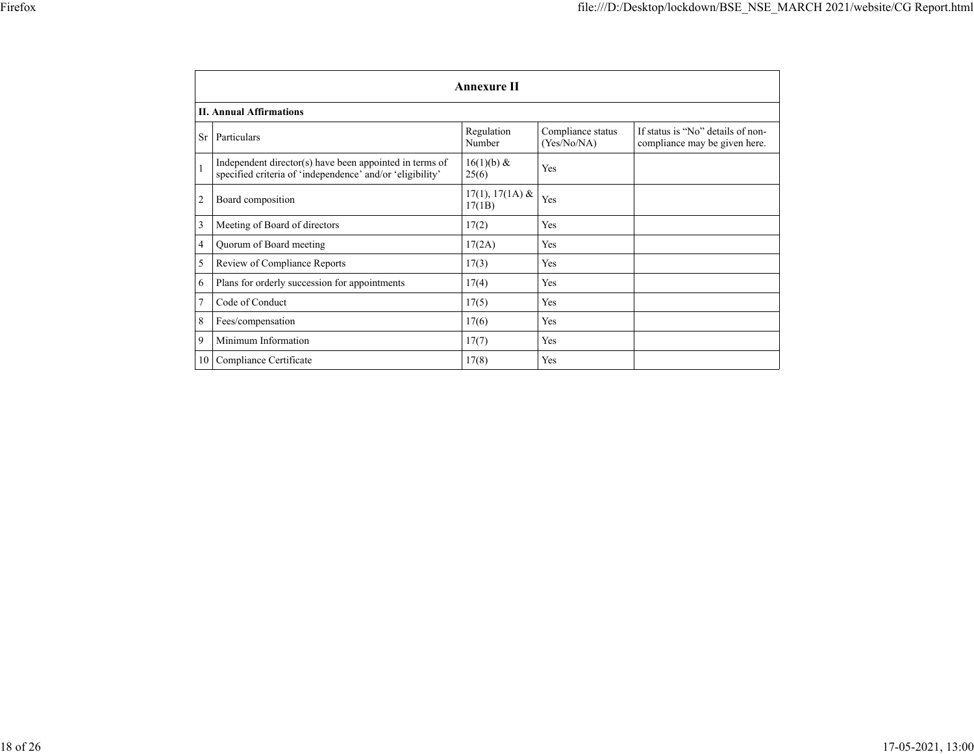|              | <b>Annexure II</b>                                                                                                   |                             |                                  |                                                                    |  |
|--------------|----------------------------------------------------------------------------------------------------------------------|-----------------------------|----------------------------------|--------------------------------------------------------------------|--|
|              | <b>II. Annual Affirmations</b>                                                                                       |                             |                                  |                                                                    |  |
| <b>Sr</b>    | Particulars                                                                                                          | Regulation<br>Number        | Compliance status<br>(Yes/No/NA) | If status is "No" details of non-<br>compliance may be given here. |  |
| $\mathbf{1}$ | Independent director(s) have been appointed in terms of<br>specified criteria of 'independence' and/or 'eligibility' | $16(1)(b) \&$<br>25(6)      | Yes                              |                                                                    |  |
| 2            | Board composition                                                                                                    | $17(1), 17(1A)$ &<br>17(1B) | Yes                              |                                                                    |  |
| 3            | Meeting of Board of directors                                                                                        | 17(2)                       | Yes                              |                                                                    |  |
| 4            | Quorum of Board meeting                                                                                              | 17(2A)                      | Yes                              |                                                                    |  |
| 5            | Review of Compliance Reports                                                                                         | 17(3)                       | Yes                              |                                                                    |  |
| 6            | Plans for orderly succession for appointments                                                                        | 17(4)                       | Yes                              |                                                                    |  |
|              | Code of Conduct                                                                                                      | 17(5)                       | Yes                              |                                                                    |  |
| 8            | Fees/compensation                                                                                                    | 17(6)                       | Yes                              |                                                                    |  |
| 9            | Minimum Information                                                                                                  | 17(7)                       | Yes                              |                                                                    |  |
| 10           | Compliance Certificate                                                                                               | 17(8)                       | Yes                              |                                                                    |  |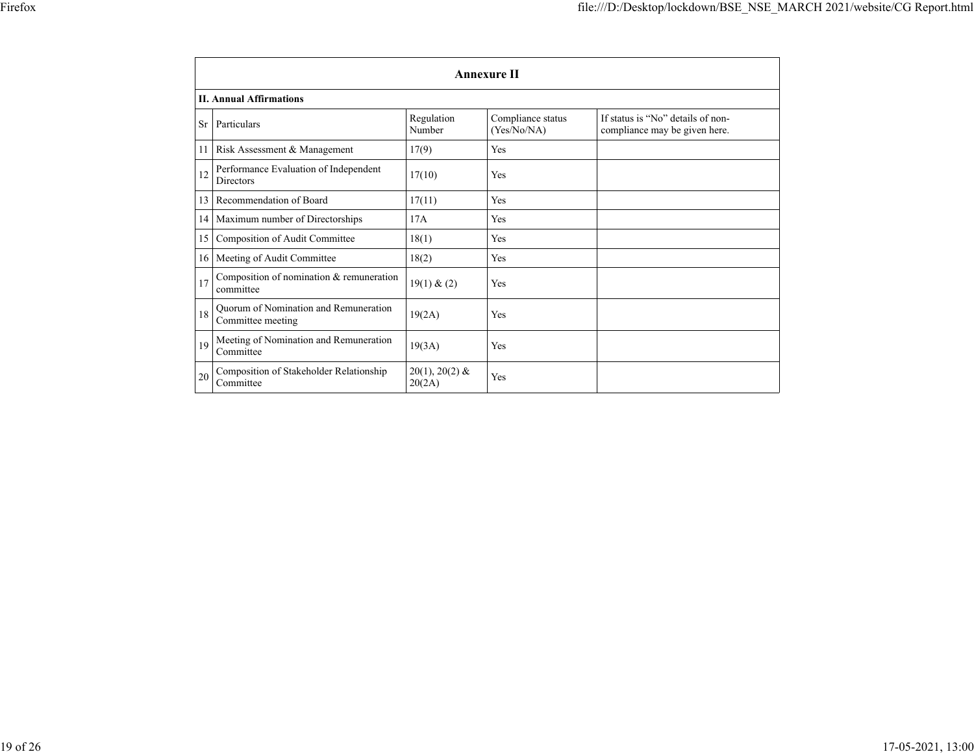|           | <b>Annexure II</b>                                         |                            |                                  |                                                                    |  |
|-----------|------------------------------------------------------------|----------------------------|----------------------------------|--------------------------------------------------------------------|--|
|           | <b>II. Annual Affirmations</b>                             |                            |                                  |                                                                    |  |
| <b>Sr</b> | Particulars                                                | Regulation<br>Number       | Compliance status<br>(Yes/No/NA) | If status is "No" details of non-<br>compliance may be given here. |  |
| 11        | Risk Assessment & Management                               | 17(9)                      | Yes                              |                                                                    |  |
| 12        | Performance Evaluation of Independent<br><b>Directors</b>  | 17(10)                     | Yes                              |                                                                    |  |
| 13        | Recommendation of Board                                    | 17(11)                     | Yes                              |                                                                    |  |
|           | 14 Maximum number of Directorships                         | 17A                        | Yes                              |                                                                    |  |
| 15        | Composition of Audit Committee                             | 18(1)                      | Yes                              |                                                                    |  |
| 16        | Meeting of Audit Committee                                 | 18(2)                      | Yes                              |                                                                    |  |
| 17        | Composition of nomination $&$ remuneration<br>committee    | 19(1) & (2)                | Yes                              |                                                                    |  |
| 18        | Ouorum of Nomination and Remuneration<br>Committee meeting | 19(2A)                     | Yes                              |                                                                    |  |
| 19        | Meeting of Nomination and Remuneration<br>Committee        | 19(3A)                     | Yes                              |                                                                    |  |
| 20        | Composition of Stakeholder Relationship<br>Committee       | $20(1), 20(2)$ &<br>20(2A) | Yes                              |                                                                    |  |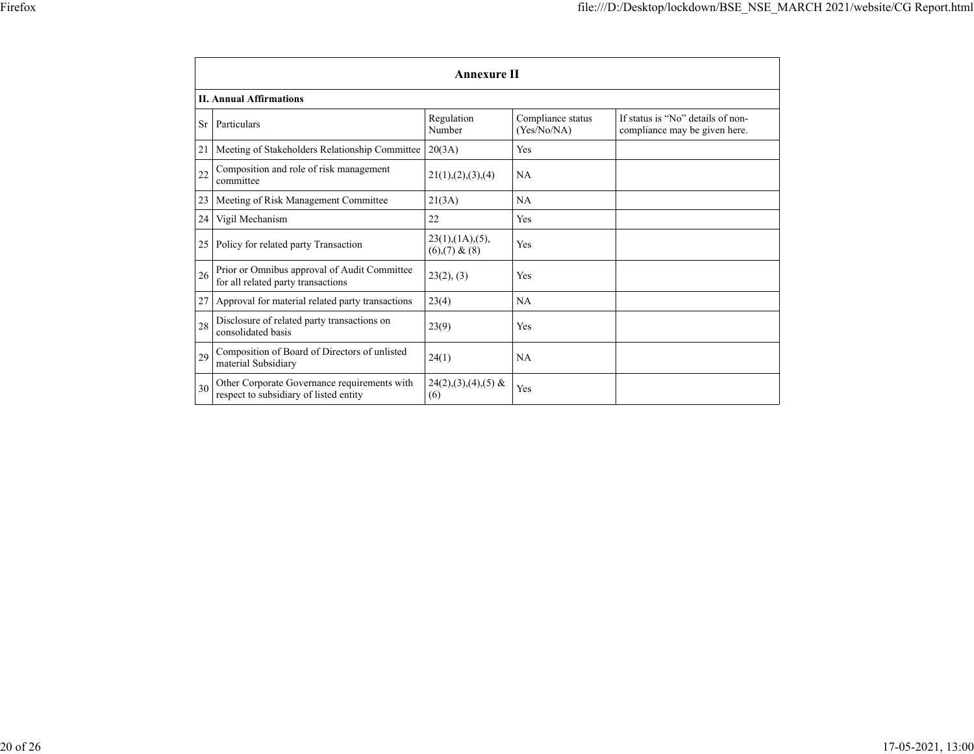|           | <b>Annexure II</b>                                                                     |                                      |                                  |                                                                    |  |
|-----------|----------------------------------------------------------------------------------------|--------------------------------------|----------------------------------|--------------------------------------------------------------------|--|
|           | <b>II. Annual Affirmations</b>                                                         |                                      |                                  |                                                                    |  |
| <b>Sr</b> | Particulars                                                                            | Regulation<br>Number                 | Compliance status<br>(Yes/No/NA) | If status is "No" details of non-<br>compliance may be given here. |  |
| 21        | Meeting of Stakeholders Relationship Committee                                         | 20(3A)                               | Yes                              |                                                                    |  |
| 22        | Composition and role of risk management<br>committee                                   | 21(1), (2), (3), (4)                 | <b>NA</b>                        |                                                                    |  |
| 23        | Meeting of Risk Management Committee                                                   | 21(3A)                               | NA                               |                                                                    |  |
| 24        | Vigil Mechanism                                                                        | 22                                   | Yes                              |                                                                    |  |
| 25        | Policy for related party Transaction                                                   | 23(1),(1A),(5),<br>$(6),(7)$ & $(8)$ | Yes                              |                                                                    |  |
| 26        | Prior or Omnibus approval of Audit Committee<br>for all related party transactions     | 23(2), (3)                           | Yes                              |                                                                    |  |
| 27        | Approval for material related party transactions                                       | 23(4)                                | <b>NA</b>                        |                                                                    |  |
| 28        | Disclosure of related party transactions on<br>consolidated basis                      | 23(9)                                | Yes                              |                                                                    |  |
| 29        | Composition of Board of Directors of unlisted<br>material Subsidiary                   | 24(1)                                | <b>NA</b>                        |                                                                    |  |
| 30        | Other Corporate Governance requirements with<br>respect to subsidiary of listed entity | $24(2), (3), (4), (5)$ &<br>(6)      | Yes                              |                                                                    |  |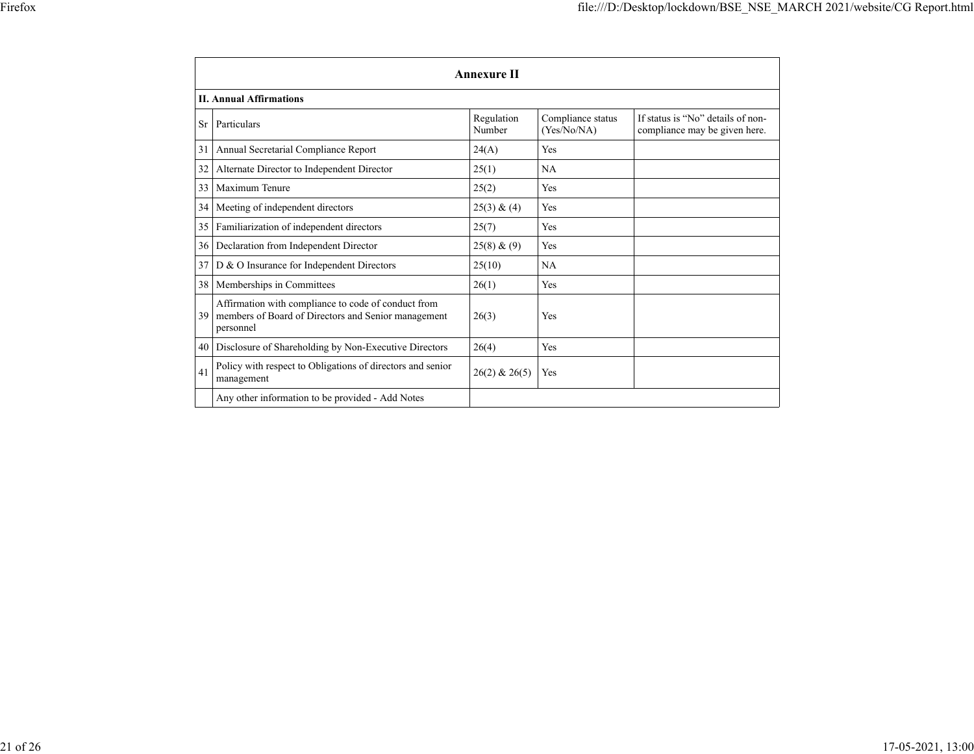|    | <b>Annexure II</b><br><b>II. Annual Affirmations</b>                                                                    |                      |                                  |                                                                    |  |
|----|-------------------------------------------------------------------------------------------------------------------------|----------------------|----------------------------------|--------------------------------------------------------------------|--|
|    |                                                                                                                         |                      |                                  |                                                                    |  |
| Sr | Particulars                                                                                                             | Regulation<br>Number | Compliance status<br>(Yes/No/NA) | If status is "No" details of non-<br>compliance may be given here. |  |
| 31 | Annual Secretarial Compliance Report                                                                                    | 24(A)                | <b>Yes</b>                       |                                                                    |  |
| 32 | Alternate Director to Independent Director                                                                              | 25(1)                | NA                               |                                                                    |  |
| 33 | Maximum Tenure                                                                                                          | 25(2)                | Yes                              |                                                                    |  |
| 34 | Meeting of independent directors                                                                                        | 25(3) & (4)          | <b>Yes</b>                       |                                                                    |  |
| 35 | Familiarization of independent directors                                                                                | 25(7)                | Yes                              |                                                                    |  |
| 36 | Declaration from Independent Director                                                                                   | 25(8) & (9)          | <b>Yes</b>                       |                                                                    |  |
| 37 | D & O Insurance for Independent Directors                                                                               | 25(10)               | <b>NA</b>                        |                                                                    |  |
| 38 | Memberships in Committees                                                                                               | 26(1)                | <b>Yes</b>                       |                                                                    |  |
| 39 | Affirmation with compliance to code of conduct from<br>members of Board of Directors and Senior management<br>personnel | 26(3)                | Yes                              |                                                                    |  |
| 40 | Disclosure of Shareholding by Non-Executive Directors                                                                   | 26(4)                | <b>Yes</b>                       |                                                                    |  |
| 41 | Policy with respect to Obligations of directors and senior<br>management                                                | $26(2)$ & $26(5)$    | <b>Yes</b>                       |                                                                    |  |
|    | Any other information to be provided - Add Notes                                                                        |                      |                                  |                                                                    |  |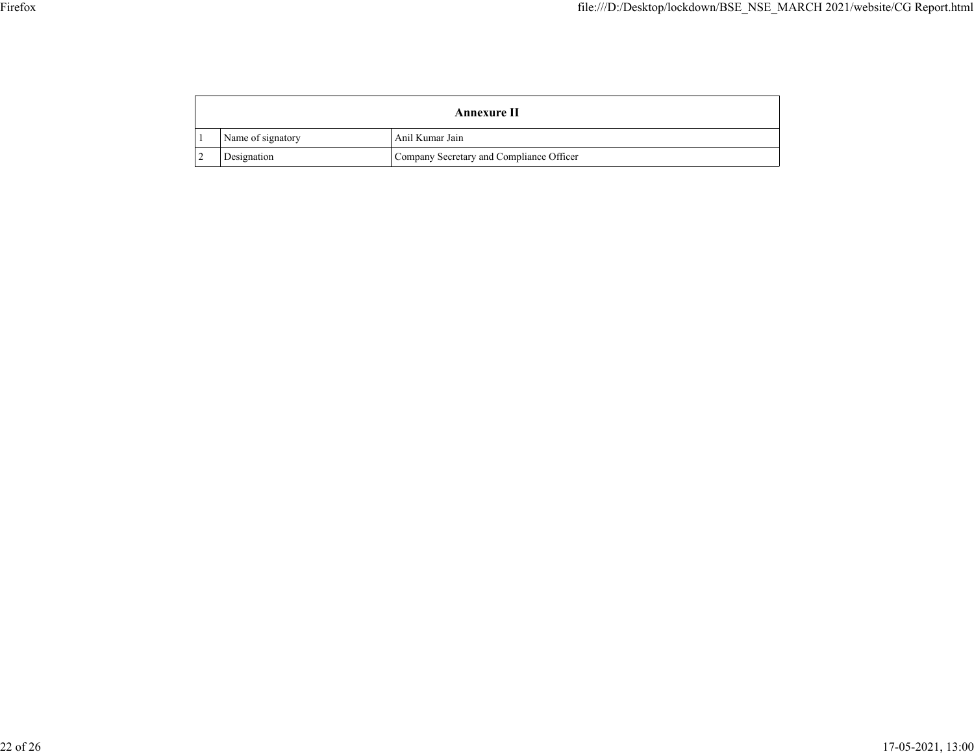| <b>Annexure II</b> |                                          |  |
|--------------------|------------------------------------------|--|
| Name of signatory  | Anil Kumar Jain                          |  |
| Designation        | Company Secretary and Compliance Officer |  |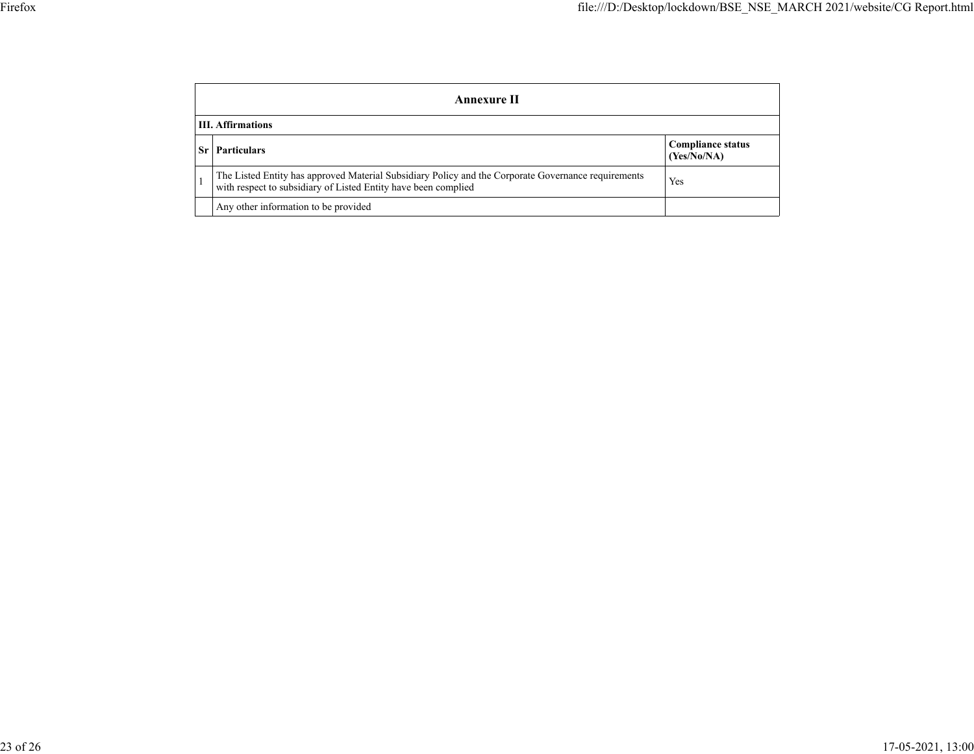| Annexure II              |                                                                                                                                                                       |                                         |  |
|--------------------------|-----------------------------------------------------------------------------------------------------------------------------------------------------------------------|-----------------------------------------|--|
| <b>III.</b> Affirmations |                                                                                                                                                                       |                                         |  |
|                          | <b>Particulars</b>                                                                                                                                                    | <b>Compliance status</b><br>(Yes/No/NA) |  |
|                          | The Listed Entity has approved Material Subsidiary Policy and the Corporate Governance requirements<br>with respect to subsidiary of Listed Entity have been complied | Yes                                     |  |
|                          | Any other information to be provided                                                                                                                                  |                                         |  |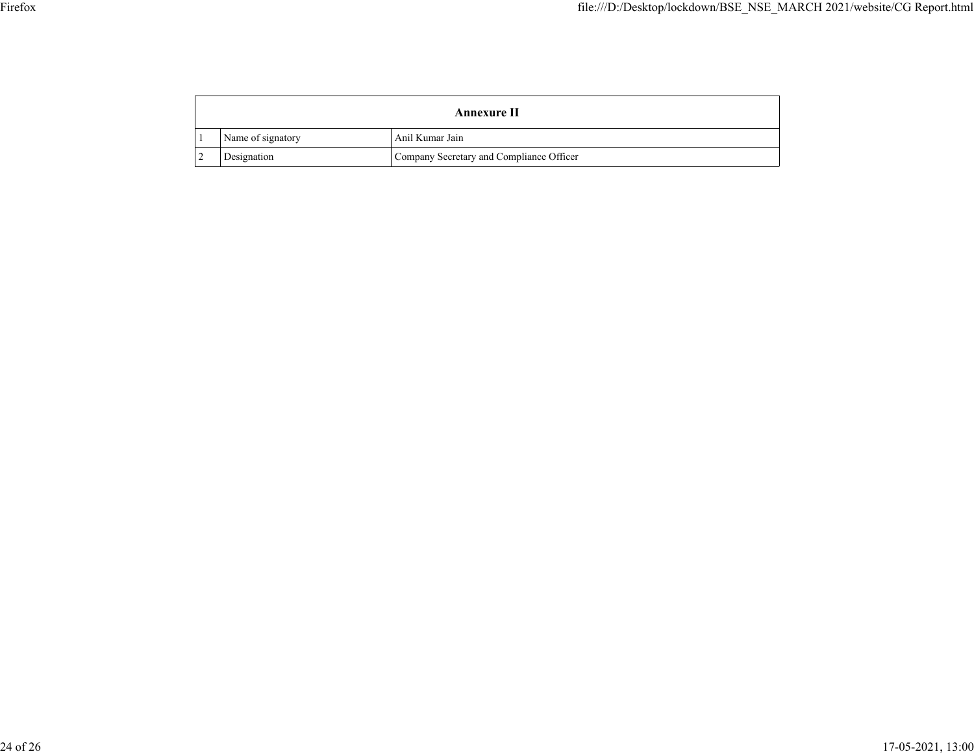| Annexure II       |                                          |  |
|-------------------|------------------------------------------|--|
| Name of signatory | Anil Kumar Jain                          |  |
| Designation       | Company Secretary and Compliance Officer |  |